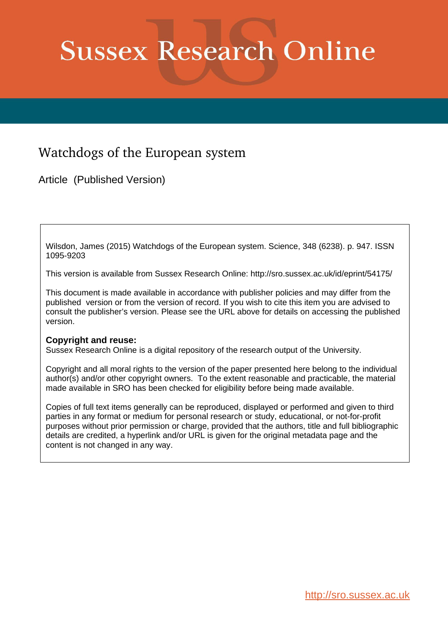# **Sussex Research Online**

### Watchdogs of the European system

Article (Published Version)

Wilsdon, James (2015) Watchdogs of the European system. Science, 348 (6238). p. 947. ISSN 1095-9203

This version is available from Sussex Research Online: http://sro.sussex.ac.uk/id/eprint/54175/

This document is made available in accordance with publisher policies and may differ from the published version or from the version of record. If you wish to cite this item you are advised to consult the publisher's version. Please see the URL above for details on accessing the published version.

#### **Copyright and reuse:**

Sussex Research Online is a digital repository of the research output of the University.

Copyright and all moral rights to the version of the paper presented here belong to the individual author(s) and/or other copyright owners. To the extent reasonable and practicable, the material made available in SRO has been checked for eligibility before being made available.

Copies of full text items generally can be reproduced, displayed or performed and given to third parties in any format or medium for personal research or study, educational, or not-for-profit purposes without prior permission or charge, provided that the authors, title and full bibliographic details are credited, a hyperlink and/or URL is given for the original metadata page and the content is not changed in any way.